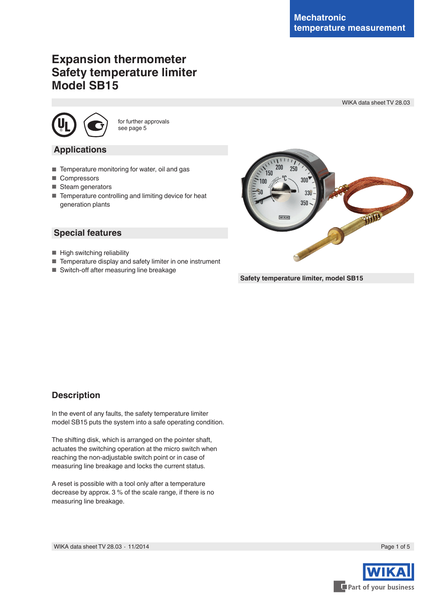# **Expansion thermometer Safety temperature limiter Model SB15**

WIKA data sheet TV 28.03



for further approvals see page 5

#### **Applications**

- Temperature monitoring for water, oil and gas
- Compressors
- Steam generators
- Temperature controlling and limiting device for heat generation plants

#### **Special features**

- High switching reliability
- Temperature display and safety limiter in one instrument
- Switch-off after measuring line breakage



**Safety temperature limiter, model SB15**

#### **Description**

In the event of any faults, the safety temperature limiter model SB15 puts the system into a safe operating condition.

The shifting disk, which is arranged on the pointer shaft, actuates the switching operation at the micro switch when reaching the non-adjustable switch point or in case of measuring line breakage and locks the current status.

A reset is possible with a tool only after a temperature decrease by approx. 3 % of the scale range, if there is no measuring line breakage.



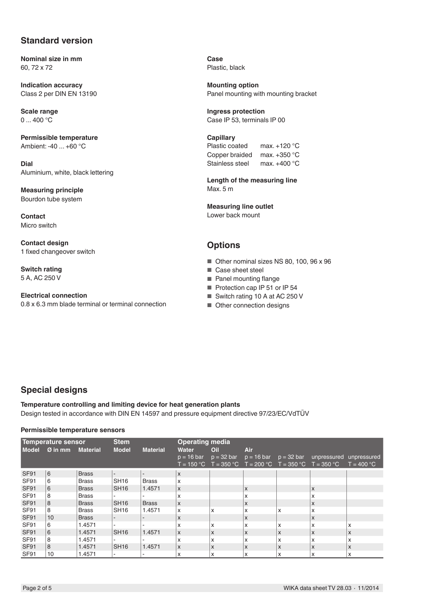#### **Standard version**

**Nominal size in mm** 60, 72 x 72

**Indication accuracy** Class 2 per DIN EN 13190

**Scale range**  $0...400 °C$ 

**Permissible temperature** Ambient: -40 ... +60 °C

**Dial** Aluminium, white, black lettering

**Measuring principle** Bourdon tube system

**Contact** Micro switch

**Contact design** 1 fixed changeover switch

**Switch rating** 5 A, AC 250 V

**Electrical connection** 0.8 x 6.3 mm blade terminal or terminal connection **Case** Plastic, black

**Mounting option** Panel mounting with mounting bracket

**Ingress protection** Case IP 53, terminals IP 00

**Capillary** Plastic coated max. +120 °C Copper braided max. +350 °C Stainless steel max. +400 °C

**Length of the measuring line** Max. 5 m

**Measuring line outlet** Lower back mount

## **Options**

- Other nominal sizes NS 80, 100, 96 x 96
- Case sheet steel
- Panel mounting flange
- Protection cap IP 51 or IP 54
- Switch rating 10 A at AC 250 V
- Other connection designs

## **Special designs**

**Temperature controlling and limiting device for heat generation plants** Design tested in accordance with DIN EN 14597 and pressure equipment directive 97/23/EC/VdTÜV

#### **Permissible temperature sensors**

| Temperature sensor<br>$Model \quad \emptyset$ in mm<br><b>Material</b> |    |              | <b>Stem</b><br><b>Model</b> | <b>Operating media</b><br>Air<br><b>Material</b><br>Water<br>Oil |              |                           |                                                                  |   |                                                   |              |
|------------------------------------------------------------------------|----|--------------|-----------------------------|------------------------------------------------------------------|--------------|---------------------------|------------------------------------------------------------------|---|---------------------------------------------------|--------------|
|                                                                        |    |              |                             |                                                                  | $p = 16$ bar | $p = 32$ bar              | $T = 150 °C$ $T = 350 °C$ $T = 200 °C$ $T = 350 °C$ $T = 350 °C$ |   | $p = 16$ bar $p = 32$ bar unpressured unpressured | $T = 400 °C$ |
| <b>SF91</b>                                                            | 6  | <b>Brass</b> | ۰.                          |                                                                  | X            |                           |                                                                  |   |                                                   |              |
| SF91                                                                   | 6  | <b>Brass</b> | <b>SH16</b>                 | <b>Brass</b>                                                     | x            |                           |                                                                  |   |                                                   |              |
| <b>SF91</b>                                                            | 6  | <b>Brass</b> | <b>SH16</b>                 | 1.4571                                                           | X            |                           | $\mathsf{x}$                                                     |   | X                                                 |              |
| SF91                                                                   | 8  | <b>Brass</b> |                             |                                                                  | X            |                           | X                                                                |   | x                                                 |              |
| <b>SF91</b>                                                            | 8  | <b>Brass</b> | <b>SH16</b>                 | <b>Brass</b>                                                     | X            |                           | $\mathsf{\chi}$                                                  |   | X                                                 |              |
| SF91                                                                   | 8  | <b>Brass</b> | <b>SH16</b>                 | 1.4571                                                           | X            | X                         | X                                                                | X | x                                                 |              |
| <b>SF91</b>                                                            | 10 | <b>Brass</b> |                             |                                                                  | X            |                           | $\mathsf{\chi}$                                                  |   | X                                                 |              |
| SF91                                                                   | 6  | 1.4571       | $\sim$                      | $\overline{\phantom{a}}$                                         | X            | X                         | $\boldsymbol{\mathsf{x}}$                                        | X | X                                                 | X            |
| <b>SF91</b>                                                            | 6  | 1.4571       | <b>SH16</b>                 | 1.4571                                                           | X            | $\mathsf{x}$              | $\mathsf{\chi}$                                                  | X | X                                                 | X            |
| SF91                                                                   | 8  | 1.4571       |                             |                                                                  | X            | $\boldsymbol{\mathsf{x}}$ | X                                                                | X | X                                                 | x            |
| <b>SF91</b>                                                            | 8  | 1.4571       | SH <sub>16</sub>            | 1.4571                                                           | X            | $\mathsf{x}$              | $\mathsf{\chi}$                                                  | X | $\mathsf{x}$                                      | X            |
| SF91                                                                   | 10 | 1.4571       | $\blacksquare$              |                                                                  | X            | X                         | X                                                                | X | X                                                 | X            |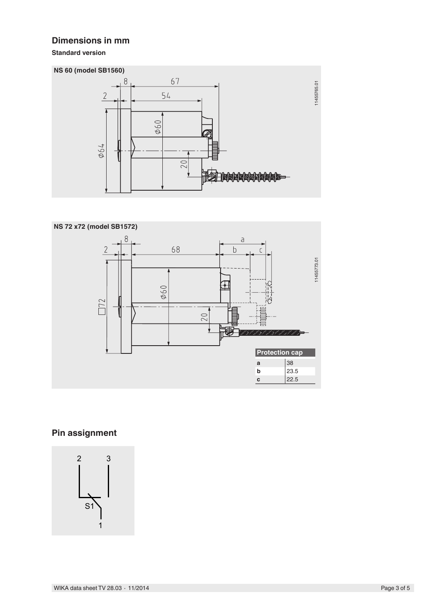#### **Dimensions in mm**

**Standard version**





# **Pin assignment**

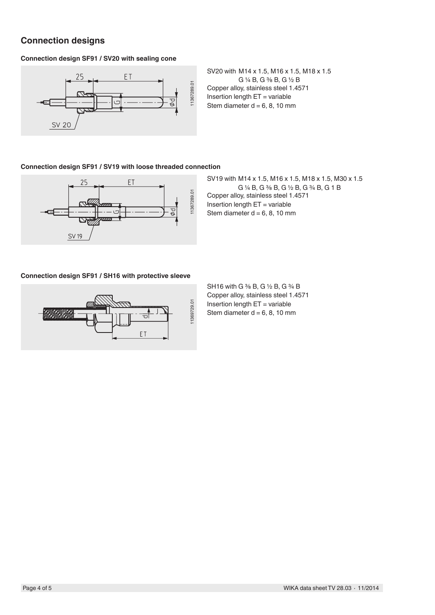## **Connection designs**

**Connection design SF91 / SV20 with sealing cone**



SV20 with M14 x 1.5, M16 x 1.5, M18 x 1.5 G ¼ B, G ⅜ B, G ½ B Copper alloy, stainless steel 1.4571 Insertion length ET = variable Stem diameter  $d = 6, 8, 10$  mm

#### **Connection design SF91 / SV19 with loose threaded connection**



SV19 with M14 x 1.5, M16 x 1.5, M18 x 1.5, M30 x 1.5 G ¼ B, G ⅜ B, G ½ B, G ¾ B, G 1 B Copper alloy, stainless steel 1.4571 Insertion length  $ET =$  variable Stem diameter  $d = 6, 8, 10$  mm

#### **Connection design SF91 / SH16 with protective sleeve**



SH16 with G % B, G 1/2 B, G 3/4 B Copper alloy, stainless steel 1.4571 Insertion length ET = variable Stem diameter  $d = 6, 8, 10$  mm